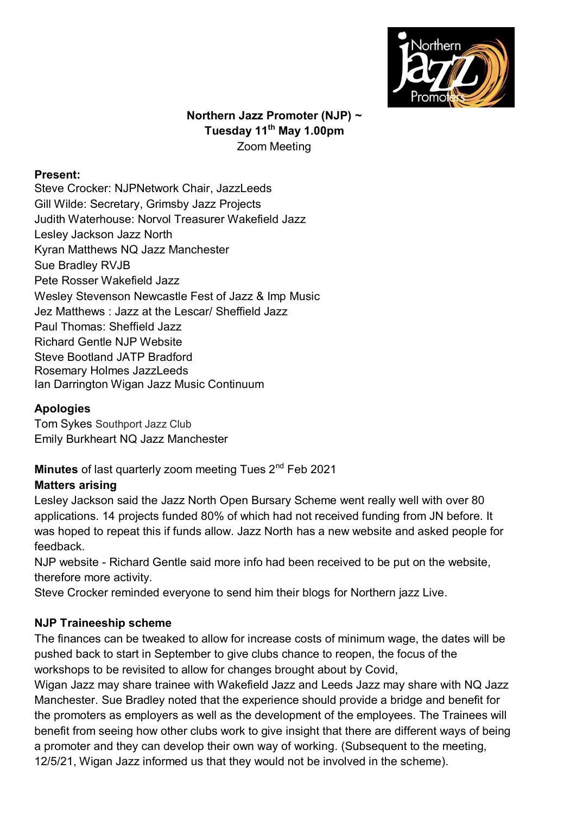

## **Northern Jazz Promoter (NJP) ~ Tuesday 11th May 1.00pm** Zoom Meeting

#### **Present:**

Steve Crocker: NJPNetwork Chair, JazzLeeds Gill Wilde: Secretary, Grimsby Jazz Projects Judith Waterhouse: Norvol Treasurer Wakefield Jazz Lesley Jackson Jazz North Kyran Matthews NQ Jazz Manchester Sue Bradley RVJB Pete Rosser Wakefield Jazz Wesley Stevenson Newcastle Fest of Jazz & Imp Music Jez Matthews : Jazz at the Lescar/ Sheffield Jazz Paul Thomas: Sheffield Jazz Richard Gentle NJP Website Steve Bootland JATP Bradford Rosemary Holmes JazzLeeds Ian Darrington Wigan Jazz Music Continuum

#### **Apologies**

Tom Sykes Southport Jazz Club Emily Burkheart NQ Jazz Manchester

# **Minutes** of last quarterly zoom meeting Tues 2nd Feb 2021

## **Matters arising**

Lesley Jackson said the Jazz North Open Bursary Scheme went really well with over 80 applications. 14 projects funded 80% of which had not received funding from JN before. It was hoped to repeat this if funds allow. Jazz North has a new website and asked people for feedback.

NJP website - Richard Gentle said more info had been received to be put on the website, therefore more activity.

Steve Crocker reminded everyone to send him their blogs for Northern jazz Live.

## **NJP Traineeship scheme**

The finances can be tweaked to allow for increase costs of minimum wage, the dates will be pushed back to start in September to give clubs chance to reopen, the focus of the workshops to be revisited to allow for changes brought about by Covid,

Wigan Jazz may share trainee with Wakefield Jazz and Leeds Jazz may share with NQ Jazz Manchester. Sue Bradley noted that the experience should provide a bridge and benefit for the promoters as employers as well as the development of the employees. The Trainees will benefit from seeing how other clubs work to give insight that there are different ways of being a promoter and they can develop their own way of working. (Subsequent to the meeting, 12/5/21, Wigan Jazz informed us that they would not be involved in the scheme).